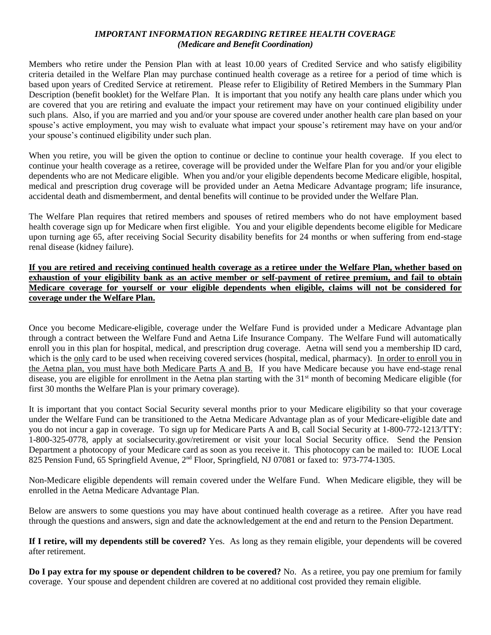## *IMPORTANT INFORMATION REGARDING RETIREE HEALTH COVERAGE (Medicare and Benefit Coordination)*

Members who retire under the Pension Plan with at least 10.00 years of Credited Service and who satisfy eligibility criteria detailed in the Welfare Plan may purchase continued health coverage as a retiree for a period of time which is based upon years of Credited Service at retirement. Please refer to Eligibility of Retired Members in the Summary Plan Description (benefit booklet) for the Welfare Plan. It is important that you notify any health care plans under which you are covered that you are retiring and evaluate the impact your retirement may have on your continued eligibility under such plans. Also, if you are married and you and/or your spouse are covered under another health care plan based on your spouse's active employment, you may wish to evaluate what impact your spouse's retirement may have on your and/or your spouse's continued eligibility under such plan.

When you retire, you will be given the option to continue or decline to continue your health coverage. If you elect to continue your health coverage as a retiree, coverage will be provided under the Welfare Plan for you and/or your eligible dependents who are not Medicare eligible. When you and/or your eligible dependents become Medicare eligible, hospital, medical and prescription drug coverage will be provided under an Aetna Medicare Advantage program; life insurance, accidental death and dismemberment, and dental benefits will continue to be provided under the Welfare Plan.

The Welfare Plan requires that retired members and spouses of retired members who do not have employment based health coverage sign up for Medicare when first eligible. You and your eligible dependents become eligible for Medicare upon turning age 65, after receiving Social Security disability benefits for 24 months or when suffering from end-stage renal disease (kidney failure).

**If you are retired and receiving continued health coverage as a retiree under the Welfare Plan, whether based on exhaustion of your eligibility bank as an active member or self-payment of retiree premium, and fail to obtain Medicare coverage for yourself or your eligible dependents when eligible, claims will not be considered for coverage under the Welfare Plan.**

Once you become Medicare-eligible, coverage under the Welfare Fund is provided under a Medicare Advantage plan through a contract between the Welfare Fund and Aetna Life Insurance Company. The Welfare Fund will automatically enroll you in this plan for hospital, medical, and prescription drug coverage. Aetna will send you a membership ID card, which is the only card to be used when receiving covered services (hospital, medical, pharmacy). In order to enroll you in the Aetna plan, you must have both Medicare Parts A and B. If you have Medicare because you have end-stage renal disease, you are eligible for enrollment in the Aetna plan starting with the  $31<sup>st</sup>$  month of becoming Medicare eligible (for first 30 months the Welfare Plan is your primary coverage).

It is important that you contact Social Security several months prior to your Medicare eligibility so that your coverage under the Welfare Fund can be transitioned to the Aetna Medicare Advantage plan as of your Medicare-eligible date and you do not incur a gap in coverage. To sign up for Medicare Parts A and B, call Social Security at 1-800-772-1213/TTY: 1-800-325-0778, apply at socialsecurity.gov/retirement or visit your local Social Security office. Send the Pension Department a photocopy of your Medicare card as soon as you receive it. This photocopy can be mailed to: IUOE Local 825 Pension Fund, 65 Springfield Avenue, 2nd Floor, Springfield, NJ 07081 or faxed to: 973-774-1305.

Non-Medicare eligible dependents will remain covered under the Welfare Fund. When Medicare eligible, they will be enrolled in the Aetna Medicare Advantage Plan.

Below are answers to some questions you may have about continued health coverage as a retiree. After you have read through the questions and answers, sign and date the acknowledgement at the end and return to the Pension Department.

**If I retire, will my dependents still be covered?** Yes. As long as they remain eligible, your dependents will be covered after retirement.

**Do I pay extra for my spouse or dependent children to be covered?** No. As a retiree, you pay one premium for family coverage. Your spouse and dependent children are covered at no additional cost provided they remain eligible.